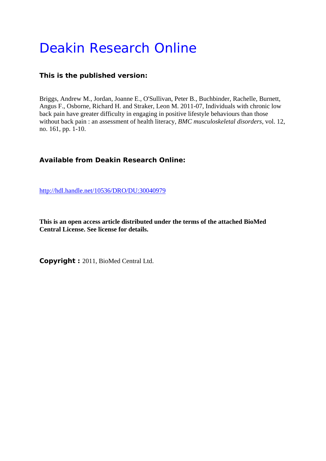# Deakin Research Online

# **This is the published version:**

Briggs, Andrew M., Jordan, Joanne E., O'Sullivan, Peter B., Buchbinder, Rachelle, Burnett, Angus F., Osborne, Richard H. and Straker, Leon M. 2011-07, Individuals with chronic low back pain have greater difficulty in engaging in positive lifestyle behaviours than those without back pain : an assessment of health literacy*, BMC musculoskeletal disorders*, vol. 12, no. 161, pp. 1-10.

# **Available from Deakin Research Online:**

http://hdl.handle.net/10536/DRO/DU:30040979

**This is an open access article distributed under the terms of the attached BioMed Central License. See license for details.** 

**Copyright :** 2011, BioMed Central Ltd.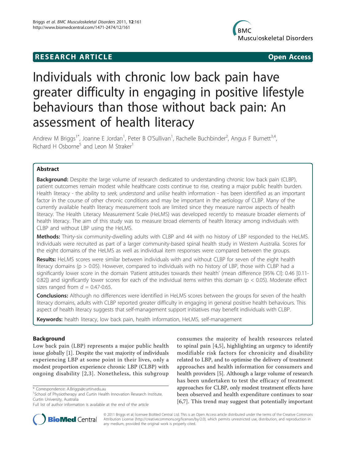# **RESEARCH ARTICLE Example 2018 12:00 Department of the Contract Open Access**



# Individuals with chronic low back pain have greater difficulty in engaging in positive lifestyle behaviours than those without back pain: An assessment of health literacy

Andrew M Briggs<sup>1\*</sup>, Joanne E Jordan<sup>1</sup>, Peter B O'Sullivan<sup>1</sup>, Rachelle Buchbinder<sup>2</sup>, Angus F Burnett<sup>3,4</sup>, Richard H Osborne<sup>5</sup> and Leon M Straker<sup>1</sup>

# Abstract

Background: Despite the large volume of research dedicated to understanding chronic low back pain (CLBP), patient outcomes remain modest while healthcare costs continue to rise, creating a major public health burden. Health literacy - the ability to seek, understand and utilise health information - has been identified as an important factor in the course of other chronic conditions and may be important in the aetiology of CLBP. Many of the currently available health literacy measurement tools are limited since they measure narrow aspects of health literacy. The Health Literacy Measurement Scale (HeLMS) was developed recently to measure broader elements of health literacy. The aim of this study was to measure broad elements of health literacy among individuals with CLBP and without LBP using the HeLMS.

Methods: Thirty-six community-dwelling adults with CLBP and 44 with no history of LBP responded to the HeLMS. Individuals were recruited as part of a larger community-based spinal health study in Western Australia. Scores for the eight domains of the HeLMS as well as individual item responses were compared between the groups.

Results: HeLMS scores were similar between individuals with and without CLBP for seven of the eight health literacy domains (p > 0.05). However, compared to individuals with no history of LBP, those with CLBP had a significantly lower score in the domain 'Patient attitudes towards their health' (mean difference [95% CI]: 0.46 [0.11- 0.82]) and significantly lower scores for each of the individual items within this domain ( $p < 0.05$ ). Moderate effect sizes ranged from  $d = 0.47 - 0.65$ .

**Conclusions:** Although no differences were identified in HeLMS scores between the groups for seven of the health literacy domains, adults with CLBP reported greater difficulty in engaging in general positive health behaviours. This aspect of health literacy suggests that self-management support initiatives may benefit individuals with CLBP.

Keywords: health literacy, low back pain, health information, HeLMS, self-management

# Background

Low back pain (LBP) represents a major public health issue globally [\[1\]](#page-8-0). Despite the vast majority of individuals experiencing LBP at some point in their lives, only a modest proportion experience chronic LBP (CLBP) with ongoing disability [[2](#page-8-0),[3\]](#page-8-0). Nonetheless, this subgroup consumes the majority of health resources related to spinal pain [\[4](#page-8-0),[5\]](#page-8-0), highlighting an urgency to identify modifiable risk factors for chronicity and disability related to LBP, and to optimise the delivery of treatment approaches and health information for consumers and health providers [[5\]](#page-8-0). Although a large volume of research has been undertaken to test the efficacy of treatment approaches for CLBP, only modest treatment effects have been observed and health expenditure continues to soar [[6](#page-8-0)[,7](#page-9-0)]. This trend may suggest that potentially important



© 2011 Briggs et al; licensee BioMed Central Ltd. This is an Open Access article distributed under the terms of the Creative Commons Attribution License [\(http://creativecommons.org/licenses/by/2.0](http://creativecommons.org/licenses/by/2.0)), which permits unrestricted use, distribution, and reproduction in any medium, provided the original work is properly cited.

<sup>\*</sup> Correspondence: [A.Briggs@curtin.edu.au](mailto:A.Briggs@curtin.edu.au)

<sup>&</sup>lt;sup>1</sup>School of Physiotherapy and Curtin Health Innovation Research Institute, Curtin University, Australia

Full list of author information is available at the end of the article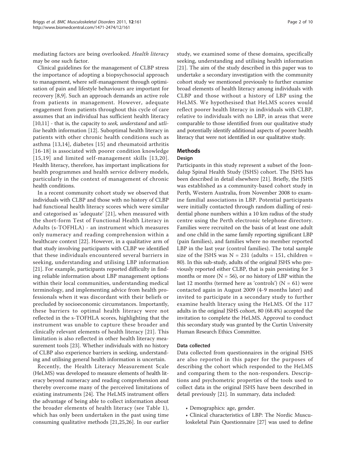mediating factors are being overlooked. Health literacy may be one such factor.

Clinical guidelines for the management of CLBP stress the importance of adopting a biopsychosocial approach to management, where self-management through optimisation of pain and lifestyle behaviours are important for recovery [[8,9\]](#page-9-0). Such an approach demands an active role from patients in management. However, adequate engagement from patients throughout this cycle of care assumes that an individual has sufficient health literacy  $[10,11]$  $[10,11]$  - that is, the capacity to seek, understand and utli-lise health information [[12\]](#page-9-0). Suboptimal health literacy in patients with other chronic health conditions such as asthma [[13](#page-9-0),[14](#page-9-0)], diabetes [[15\]](#page-9-0) and rheumatoid arthritis [[16](#page-9-0)-[18\]](#page-9-0) is associated with poorer condition knowledge [[15](#page-9-0),[19](#page-9-0)] and limited self-management skills [[13](#page-9-0),[20\]](#page-9-0). Health literacy, therefore, has important implications for health programmes and health service delivery models, particularly in the context of management of chronic health conditions.

In a recent community cohort study we observed that individuals with CLBP and those with no history of CLBP had functional health literacy scores which were similar and categorised as 'adequate' [[21\]](#page-9-0), when measured with the short-form Test of Functional Health Literacy in Adults (s-TOFHLA) - an instrument which measures only numeracy and reading comprehension within a healthcare context [\[22](#page-9-0)]. However, in a qualitative arm of that study involving participants with CLBP we identified that these individuals encountered several barriers in seeking, understanding and utilising LBP information [[21\]](#page-9-0). For example, participants reported difficulty in finding reliable information about LBP management options within their local communities, understanding medical terminology, and implementing advice from health professionals when it was discordant with their beliefs or precluded by socioeconomic circumstances. Importantly, these barriers to optimal health literacy were not reflected in the s-TOFHLA scores, highlighting that the instrument was unable to capture these broader and clinically relevant elements of health literacy [[21](#page-9-0)]. This limitation is also reflected in other health literacy measurement tools [[23\]](#page-9-0). Whether individuals with no history of CLBP also experience barriers in seeking, understanding and utilising general health information is uncertain.

Recently, the Health Literacy Measurement Scale (HeLMS) was developed to measure elements of health literacy beyond numeracy and reading comprehension and thereby overcome many of the perceived limitations of existing instruments [[24\]](#page-9-0). The HeLMS instrument offers the advantage of being able to collect information about the broader elements of health literacy (see Table [1\)](#page-3-0), which has only been undertaken in the past using time consuming qualitative methods [[21,25,26](#page-9-0)]. In our earlier study, we examined some of these domains, specifically seeking, understanding and utilising health information [[21\]](#page-9-0). The aim of the study described in this paper was to undertake a secondary investigation with the community cohort study we mentioned previously to further examine broad elements of health literacy among individuals with CLBP and those without a history of LBP using the HeLMS. We hypothesised that HeLMS scores would reflect poorer health literacy in individuals with CLBP, relative to individuals with no LBP, in areas that were comparable to those identified from our qualitative study and potentially identify additional aspects of poorer health literacy that were not identified in our qualitative study.

## Methods

## **Design**

Participants in this study represent a subset of the Joondalup Spinal Health Study (JSHS) cohort. The JSHS has been described in detail elsewhere [[21\]](#page-9-0). Briefly, the JSHS was established as a community-based cohort study in Perth, Western Australia, from November 2008 to examine familial associations in LBP. Potential participants were initially contacted through random dialling of residential phone numbers within a 10 km radius of the study centre using the Perth electronic telephone directory. Families were recruited on the basis of at least one adult and one child in the same family reporting significant LBP (pain families), and families where no member reported LBP in the last year (control families). The total sample size of the JSHS was  $N = 231$  (adults = 151, children = 80). In this sub-study, adults of the original JSHS who previously reported either CLBP, that is pain persisting for 3 months or more  $(N = 56)$ , or no history of LBP within the last 12 months (termed here as 'controls') ( $N = 61$ ) were contacted again in August 2009 (4-9 months later) and invited to participate in a secondary study to further examine health literacy using the HeLMS. Of the 117 adults in the original JSHS cohort, 80 (68.4%) accepted the invitation to complete the HeLMS. Approval to conduct this secondary study was granted by the Curtin University Human Research Ethics Committee.

### Data collected

Data collected from questionnaires in the original JSHS are also reported in this paper for the purposes of describing the cohort which responded to the HeLMS and comparing them to the non-responders. Descriptions and psychometric properties of the tools used to collect data in the original JSHS have been described in detail previously [[21\]](#page-9-0). In summary, data included:

- Demographics: age, gender.
- Clinical characteristics of LBP: The Nordic Musculoskeletal Pain Questionnaire [[27\]](#page-9-0) was used to define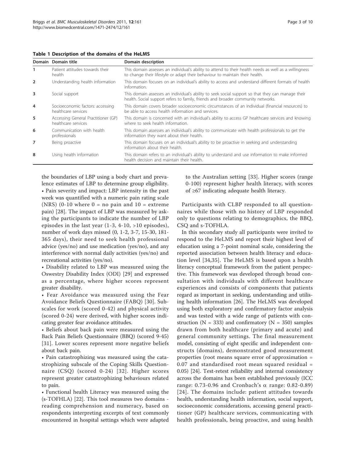<span id="page-3-0"></span>Table 1 Description of the domains of the HeLMS

|                | Domain Domain title                                        | Domain description                                                                                                                                                                    |
|----------------|------------------------------------------------------------|---------------------------------------------------------------------------------------------------------------------------------------------------------------------------------------|
| 1              | Patient attitudes towards their<br>health                  | This domain assesses an individual's ability to attend to their health needs as well as a willingness<br>to change their lifestyle or adapt their behaviour to maintain their health. |
| $\overline{2}$ | Understanding health information                           | This domain focuses on an individual's ability to access and understand different formats of health<br>information.                                                                   |
| 3              | Social support                                             | This domain assesses an individual's ability to seek social support so that they can manage their<br>health. Social support refers to family, friends and broader community networks. |
| $\overline{4}$ | Socioeconomic factors: accessing<br>healthcare services    | This domain covers broader socioeconomic circumstances of an individual (financial resources) to<br>be able to access health information and services.                                |
| 5              | Accessing General Practitioner (GP)<br>healthcare services | This domain is concerned with an individual's ability to access GP healthcare services and knowing<br>where to seek health information.                                               |
| 6              | Communication with health<br>professionals                 | This domain assesses an individual's ability to communicate with health professionals to get the<br>information they want about their health.                                         |
| 7              | Being proactive                                            | This domain focuses on an individual's ability to be proactive in seeking and understanding<br>information about their health.                                                        |
| 8              | Using health information                                   | This domain refers to an individual's ability to understand and use information to make informed<br>health decision and maintain their health.                                        |

the boundaries of LBP using a body chart and prevalence estimates of LBP to determine group eligibility. • Pain severity and impact: LBP intensity in the past week was quantified with a numeric pain rating scale (NRS) (0-10 where  $0 = no$  pain and  $10 =$  extreme pain) [[28](#page-9-0)]. The impact of LBP was measured by asking the participants to indicate the number of LBP episodes in the last year (1-3, 4-10, >10 episodes), number of work days missed (0, 1-2, 3-7, 15-30, 181- 365 days), their need to seek health professional advice (yes/no) and use medication (yes/no), and any interference with normal daily activities (yes/no) and recreational activities (yes/no).

• Disability related to LBP was measured using the Oswestry Disability Index (ODI) [[29\]](#page-9-0) and expressed as a percentage, where higher scores represent greater disability.

• Fear Avoidance was measured using the Fear Avoidance Beliefs Questionnaire (FABQ) [[30](#page-9-0)]. Subscales for work (scored 0-42) and physical activity (scored 0-24) were derived, with higher scores indicating greater fear avoidance attitudes.

• Beliefs about back pain were measured using the Back Pain Beliefs Questionnaire (BBQ) (scored 9-45) [[31](#page-9-0)]. Lower scores represent more negative beliefs about back pain.

• Pain catastrophizing was measured using the catastrophizing subscale of the Coping Skills Questionnaire (CSQ) (scored 0-24) [[32](#page-9-0)]. Higher scores represent greater catastrophizing behaviours related to pain.

• Functional health Literacy was measured using the (s-TOFHLA) [[22\]](#page-9-0). This tool measures two domains reading comprehension and numeracy, based on respondents interpreting excerpts of text commonly encountered in hospital settings which were adapted to the Australian setting [[33\]](#page-9-0). Higher scores (range 0-100) represent higher health literacy, with scores of ≥67 indicating adequate health literacy.

Participants with CLBP responded to all questionnaires while those with no history of LBP responded only to questions relating to demographics, the BBQ, CSQ and s-TOFHLA.

In this secondary study all participants were invited to respond to the HeLMS and report their highest level of education using a 7-point nominal scale, considering the reported association between health literacy and education level [[34](#page-9-0),[35\]](#page-9-0). The HeLMS is based upon a health literacy conceptual framework from the patient perspective. This framework was developed through broad consultation with individuals with different healthcare experiences and consists of components that patients regard as important in seeking, understanding and utilising health information [\[26](#page-9-0)]. The HeLMS was developed using both exploratory and confirmatory factor analysis and was tested with a wide range of patients with construction ( $N = 333$ ) and confirmatory ( $N = 350$ ) samples drawn from both healthcare (primary and acute) and general community settings. The final measurement model, consisting of eight specific and independent constructs (domains), demonstrated good measurement properties (root means square error of approximation = 0.07 and standardised root mean squared residual = 0.05) [\[24\]](#page-9-0). Test-retest reliability and internal consistency across the domains has been established previously (ICC range: 0.73-0.96 and Cronbach's  $\alpha$  range: 0.82-0.89) [[24\]](#page-9-0). The domains include: patient attitudes towards health, understanding health information, social support, socioeconomic considerations, accessing general practitioner (GP) healthcare services, communicating with health professionals, being proactive, and using health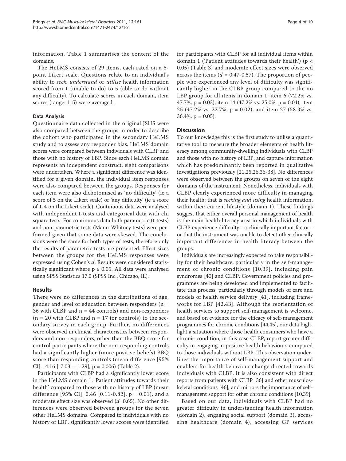information. Table [1](#page-3-0) summarises the content of the domains.

The HeLMS consists of 29 items, each rated on a 5 point Likert scale. Questions relate to an individual's ability to seek, understand or utilise health information scored from 1 (unable to do) to 5 (able to do without any difficulty). To calculate scores in each domain, item scores (range: 1-5) were averaged.

## Data Analysis

Questionnaire data collected in the original JSHS were also compared between the groups in order to describe the cohort who participated in the secondary HeLMS study and to assess any responder bias. HeLMS domain scores were compared between individuals with CLBP and those with no history of LBP. Since each HeLMS domain represents an independent construct, eight comparisons were undertaken. Where a significant difference was identified for a given domain, the individual item responses were also compared between the groups. Responses for each item were also dichotomised as 'no difficulty' (ie a score of 5 on the Likert scale) or 'any difficulty' (ie a score of 1-4 on the Likert scale). Continuous data were analysed with independent t-tests and categorical data with chi square tests. For continuous data both parametric (t-tests) and non-parametric tests (Mann-Whitney tests) were performed given that some data were skewed. The conclusions were the same for both types of tests, therefore only the results of parametric tests are presented. Effect sizes between the groups for the HeLMS responses were expressed using Cohen's d. Results were considered statistically significant where  $p \leq 0.05$ . All data were analysed using SPSS Statistics 17.0 (SPSS Inc., Chicago, IL).

## Results

There were no differences in the distributions of age, gender and level of education between responders ( $n =$ 36 with CLBP and  $n = 44$  controls) and non-responders  $(n = 20 \text{ with CLBP and } n = 17 \text{ for controls})$  to the secondary survey in each group. Further, no differences were observed in clinical characteristics between responders and non-responders, other than the BBQ score for control participants where the non-responding controls had a significantly higher (more positive beliefs) BBQ score than responding controls (mean difference [95% CI]: -4.16 [-7.03 - -1.29],  $p = 0.006$ ) (Table [2](#page-5-0)).

Participants with CLBP had a significantly lower score in the HeLMS domain 1: 'Patient attitudes towards their health' compared to those with no history of LBP (mean difference [95% CI]: 0.46 [0.11-0.82],  $p = 0.01$ ), and a moderate effect size was observed  $(d=0.65)$ . No other differences were observed between groups for the seven other HeLMS domains. Compared to individuals with no history of LBP, significantly lower scores were identified for participants with CLBP for all individual items within domain 1 ('Patient attitudes towards their health') ( $p <$ 0.05) (Table [3](#page-6-0)) and moderate effect sizes were observed across the items ( $d = 0.47$ -0.57). The proportion of people who experienced any level of difficulty was significantly higher in the CLBP group compared to the no LBP group for all items in domain 1: item 6 (72.2% vs. 47.7%,  $p = 0.03$ ), item 14 (47.2% vs. 25.0%,  $p = 0.04$ ), item 25 (47.2% vs. 22.7%, p = 0.02), and item 27 (58.3% vs.  $36.4\%$ , p = 0.05).

### **Discussion**

To our knowledge this is the first study to utilise a quantitative tool to measure the broader elements of health literacy among community-dwelling individuals with CLBP and those with no history of LBP, and capture information which has predominantly been reported in qualitative investigations previously [\[21,25,26,36](#page-9-0)-[38\]](#page-9-0). No differences were observed between the groups on seven of the eight domains of the instrument. Nonetheless, individuals with CLBP clearly experienced more difficulty in managing their health; that is seeking and using health information, within their current lifestyle (domain 1). These findings suggest that either overall personal management of health is the main health literacy area in which individuals with CLBP experience difficulty - a clinically important factor or that the instrument was unable to detect other clinically important differences in health literacy between the groups.

Individuals are increasingly expected to take responsibility for their healthcare, particularly in the self-management of chronic conditions [[10,39\]](#page-9-0), including pain syndromes [\[40](#page-9-0)] and CLBP. Government policies and programmes are being developed and implemented to facilitate this process, particularly through models of care and models of health service delivery [\[41\]](#page-9-0), including frameworks for LBP [[42](#page-9-0),[43](#page-9-0)]. Although the reorientation of health services to support self-management is welcome, and based on evidence for the efficacy of self-management programmes for chronic conditions [\[44,45\]](#page-9-0), our data highlight a situation where those health consumers who have a chronic condition, in this case CLBP, report greater difficulty in engaging in positive health behaviours compared to those individuals without LBP. This observation underlines the importance of self-management support and enablers for health behaviour change directed towards individuals with CLBP. It is also consistent with direct reports from patients with CLBP [[36](#page-9-0)] and other musculoskeletal conditions [\[46](#page-9-0)], and mirrors the importance of selfmanagement support for other chronic conditions [\[10,39](#page-9-0)].

Based on our data, individuals with CLBP had no greater difficulty in understanding health information (domain 2), engaging social support (domain 3), accessing healthcare (domain 4), accessing GP services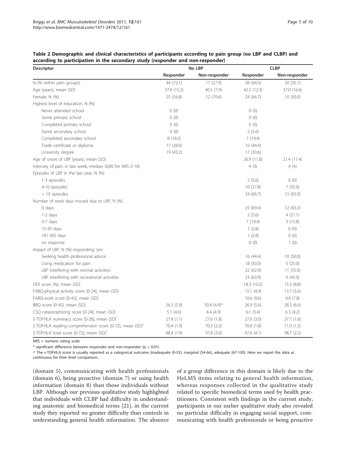| <b>Descriptor</b>                                                   | No LBP      |                | <b>CLBP</b> |               |
|---------------------------------------------------------------------|-------------|----------------|-------------|---------------|
|                                                                     | Responder   | Non-responder  | Responder   | Non-responder |
| N (% within pain groups)                                            | 44 (72.1)   | 17(27.9)       | 36 (64.3)   | 20 (35.7)     |
| Age (years), mean (SD)                                              | 37.8 (15.2) | 40.5 (7.9)     | 42.2 (12.3) | 37.0 (16.6)   |
| Female, N (%)                                                       | 25 (56.8)   | 12 (70.6)      | 24 (66.7)   | 10(50.0)      |
| Highest level of education, N (%)                                   |             |                |             |               |
| Never attended school                                               | 0(0)        |                | 0(0)        |               |
| Some primary school                                                 | 0(0)        |                | 0(0)        |               |
| Completed primary school                                            | 0(0)        |                | 0(0)        |               |
| Some secondary school                                               | 0(0)        |                | 2(5.6)      |               |
| Completed secondary school                                          | 8 (18.2)    |                | 7(19.4)     |               |
| Trade certificate or diploma                                        | 17 (38.6)   |                | 16 (44.4)   |               |
| University degree                                                   | 19 (43.2)   |                | 11(30.6)    |               |
| Age of onset of LBP (years), mean (SD)                              |             |                | 26.9 (11.8) | 21.4 (11.4)   |
| Intensity of pain in last week, median (IQR) for NRS 0-10)          |             |                | 4(3)        | 4(4)          |
| Episodes of LBP in the last year, N (%)                             |             |                |             |               |
| 1-3 episodes                                                        |             |                | 2(5.6)      | 0(0)          |
| 4-10 episodes                                                       |             |                | 10(27.8)    | 7(35.0)       |
| $>10$ episodes                                                      |             |                | 24 (66.7)   | 13 (65.0)     |
| Number of work days missed due to LBP, N (%)                        |             |                |             |               |
| $0$ days                                                            |             |                | 25 (69.4)   | 12 (63.2)     |
| $1-2$ days                                                          |             |                | 2(5.6)      | 4(21.1)       |
| $3-7$ days                                                          |             |                | 7(19.4)     | 3(15.8)       |
| 15-30 days                                                          |             |                | 1(2.8)      | 0(0)          |
| 181-365 days                                                        |             |                | 1(2.8)      | 0(0)          |
| no response                                                         |             |                | 0(0)        | 1(0)          |
| Impact of LBP, N (%) responding 'yes'                               |             |                |             |               |
| Seeking health professional advice                                  |             |                | 16 (44.4)   | 10(50.0)      |
| Using medication for pain                                           |             |                | 18 (50.0)   | 5(25.0)       |
| LBP interfering with normal activities                              |             |                | 22 (62.9)   | 11(55.0)      |
| LBP interfering with recreational activities                        |             |                | 23 (63.9)   | 9(45.0)       |
| ODI score (%), mean (SD)                                            |             |                | 18.3 (10.2) | 15.3(8.8)     |
| FABQ-physical activity score [0-24], mean (SD)                      |             |                | 15.1(4.9)   | 13.7(5.6)     |
| FABQ-work score [0-42], mean (SD)                                   |             |                | 10.6(9.6)   | 9.9(7.8)      |
| BBQ score [9-45], mean (SD)                                         | 26.3(5.9)   | 30.4 $(4.4)^*$ | 26.9 (5.6)  | 28.3 (6.6)    |
| CSQ catastrophizing score [0-24], mean (SD)                         | 5.1(4.6)    | 4.4(4.9)       | 6.1(5.4)    | 6.3(4.2)      |
| S-TOFHLA numeracy score [0-28], mean (SD) <sup>^</sup>              | 27.8(1.1)   | 27.6 (1.8)     | 27.0 (3.0)  | 27.7 (1.6)    |
| S-TOFHLA reading comprehension score [0-72], mean (SD) <sup>^</sup> | 70.4 (1.9)  | 70.3(2.3)      | 70.8 (1.8)  | 71.0 (1.2)    |
| S-TOFHLA total score [0-72], mean (SD) <sup>^</sup>                 | 98.4 (1.9)  | 97.8 (2.6)     | 97.6 (4.1)  | 98.7 (2.2)    |

<span id="page-5-0"></span>

| Table 2 Demographic and clinical characteristics of participants according to pain group (no LBP and CLBP) and |  |  |  |
|----------------------------------------------------------------------------------------------------------------|--|--|--|
| according to participation in the secondary study (responder and non-responder)                                |  |  |  |

NRS = numeric rating scale

 $*$  significant difference between responder and non-responder (p < 0.01)

^ The s-TOFHLA score is usually reported as a categorical outcome (inadequate (0-53), marginal (54-66), adequate (67-100). Here we report the data as continuous for finer level comparison.

(domain 5), communicating with health professionals (domain 6), being proactive (domain 7) or using health information (domain 8) than those individuals without LBP. Although our previous qualitative study highlighted that individuals with CLBP had difficulty in understanding anatomic and biomedical terms [[21\]](#page-9-0), in the current study they reported no greater difficulty than controls in understanding general health information. The absence

of a group difference in this domain is likely due to the HeLMS items relating to general health information, whereas responses collected in the qualitative study related to specific biomedical terms used by health practitioners. Consistent with findings in the current study, participants in our earlier qualitative study also revealed no particular difficulty in engaging social support, communicating with health professionals or being proactive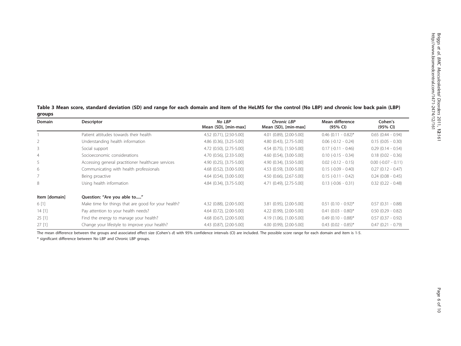| groups        |                                                     |                                |                                            |                             |                        |
|---------------|-----------------------------------------------------|--------------------------------|--------------------------------------------|-----------------------------|------------------------|
| Domain        | Descriptor                                          | No LBP<br>Mean (SD), [min-max] | <b>Chronic LBP</b><br>Mean (SD), [min-max] | Mean difference<br>(95% CI) | Cohen's<br>(95% CI)    |
|               | Patient attitudes towards their health              | 4.52 (0.71), [2.50-5.00]       | 4.01 (0.89), [2.00-5.00]                   | $0.46$ (0.11 - 0.82)*       | $0.65$ $(0.44 - 0.94)$ |
|               | Understanding health information                    | 4.86 (0.36), [3.25-5.00]       | 4.80 (0.43), [2.75-5.00]                   | $0.06$ ( $-0.12 - 0.24$ )   | $0.15$ (0.05 - 0.30)   |
| 3             | Social support                                      | 4.72 (0.50), [2.75-5.00]       | 4.54 (0.75), [1.50-5.00]                   | $0.17$ (-0.11 - 0.46)       | $0.29$ (0.14 - 0.54)   |
| 4             | Socioeconomic considerations                        | 4.70 (0.56), [2.33-5.00]       | 4.60 (0.54), [3.00-5.00]                   | $0.10$ ( $-0.15 - 0.34$ )   | $0.18$ (0.02 - 0.36)   |
| 5             | Accessing general practitioner healthcare services  | 4.90 (0.25), [3.75-5.00]       | 4.90 (0.34), [3.50-5.00]                   | $0.02$ ( $-0.12 - 0.15$ )   | $0.00$ (-0.07 - 0.11)  |
| 6             | Communicating with health professionals             | 4.68 (0.52), [3.00-5.00]       | 4.53 (0.59), [3.00-5.00]                   | $0.15$ (-0.09 - 0.40)       | $0.27$ $(0.12 - 0.47)$ |
|               | Being proactive                                     | 4.64 (0.54), [3.00-5.00]       | 4.50 (0.66), [2.67-5.00]                   | $0.15$ (-0.11 - 0.42)       | $0.24$ (0.08 - 0.45)   |
| 8             | Using health information                            | 4.84 (0.34), [3.75-5.00]       | 4.71 (0.49), [2.75-5.00]                   | $0.13$ ( $-0.06 - 0.31$ )   | $0.32$ $(0.22 - 0.48)$ |
| Item [domain] | Question: "Are you able to"                         |                                |                                            |                             |                        |
| 6 [1]         | Make time for things that are good for your health? | 4.32 (0.88), [2.00-5.00]       | 3.81 (0.95), [2.00-5.00]                   | $0.51$ (0.10 - 0.92)*       | $0.57(0.31 - 0.88)$    |
| 14[1]         | Pay attention to your health needs?                 | 4.64 (0.72), [2.00-5.00]       | 4.22 (0.99), [2.00-5.00]                   | $0.41$ (0.03 - 0.80)*       | $0.50$ $(0.29 - 0.82)$ |
| 25[1]         | Find the energy to manage your health?              | 4.68 (0.67), [2.00-5.00]       | 4.19 (1.06), [1.00-5.00]                   | $0.49$ (0.10 - 0.88)*       | $0.57$ $(0.37 - 0.92)$ |
| 27[1]         | Change your lifestyle to improve your health?       | 4.43 (0.87), [2.00-5.00]       | 4.00 (0.99), [2.00-5.00]                   | $0.43$ (0.02 - 0.85)*       | $0.47$ $(0.21 - 0.79)$ |

<span id="page-6-0"></span>Table 3 Mean score, standard deviation (SD) and range for each domain and item of the HeLMS for the control (No LBP) and chronic low back pain (LBP)

The mean difference between the groups and associated effect size (Cohen'<sup>s</sup> d) with 95% confidence intervals (CI) are included. The possible score range for each domain and item is 1-5. \* significant difference between No LBP and Chronic LBP groups.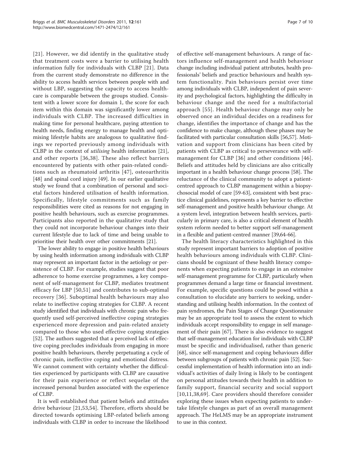[[21](#page-9-0)]. However, we did identify in the qualitative study that treatment costs were a barrier to utilising health information fully for individuals with CLBP [\[21\]](#page-9-0). Data from the current study demonstrate no difference in the ability to access health services between people with and without LBP, suggesting the capacity to access healthcare is comparable between the groups studied. Consistent with a lower score for domain 1, the score for each item within this domain was significantly lower among individuals with CLBP. The increased difficulties in making time for personal healthcare, paying attention to health needs, finding energy to manage health and optimising lifestyle habits are analogous to qualitative findings we reported previously among individuals with CLBP in the context of utilising health information [\[21](#page-9-0)], and other reports [[36](#page-9-0),[38](#page-9-0)]. These also reflect barriers encountered by patients with other pain-related conditions such as rheumatoid arthritis [[47\]](#page-9-0), osteoarthritis [[48\]](#page-9-0) and spinal cord injury [[49](#page-9-0)]. In our earlier qualitative study we found that a combination of personal and societal factors hindered utilisation of health information. Specifically, lifestyle commitments such as family responsibilities were cited as reasons for not engaging in positive health behaviours, such as exercise programmes. Participants also reported in the qualitative study that they could not incorporate behaviour changes into their current lifestyle due to lack of time and being unable to prioritise their health over other commitments [\[21](#page-9-0)].

The lower ability to engage in positive health behaviours by using health information among individuals with CLBP may represent an important factor in the aetiology or persistence of CLBP. For example, studies suggest that poor adherence to home exercise programmes, a key component of self-management for CLBP, mediates treatment efficacy for LBP [[50](#page-9-0),[51\]](#page-9-0) and contributes to sub-optimal recovery [[36\]](#page-9-0). Suboptimal health behaviours may also relate to ineffective coping strategies for CLBP. A recent study identified that individuals with chronic pain who frequently used self-perceived ineffective coping strategies experienced more depression and pain-related anxiety compared to those who used effective coping strategies [[52\]](#page-9-0). The authors suggested that a perceived lack of effective coping precludes individuals from engaging in more positive health behaviours, thereby perpetuating a cycle of chronic pain, ineffective coping and emotional distress. We cannot comment with certainty whether the difficulties experienced by participants with CLBP are causative for their pain experience or reflect sequelae of the increased personal burden associated with the experience of CLBP.

It is well established that patient beliefs and attitudes drive behaviour [[21,53](#page-9-0),[54\]](#page-10-0). Therefore, efforts should be directed towards optimising LBP-related beliefs among individuals with CLBP in order to increase the likelihood

of effective self-management behaviours. A range of factors influence self-management and health behaviour change including individual patient attributes, health professionals' beliefs and practice behaviours and health system functionality. Pain behaviours persist over time among individuals with CLBP, independent of pain severity and psychological factors, highlighting the difficulty in behaviour change and the need for a multifactorial approach [[55\]](#page-10-0). Health behaviour change may only be observed once an individual decides on a readiness for change, identifies the importance of change and has the confidence to make change, although these phases may be facilitated with particular consultation skills [\[56,57](#page-10-0)]. Motivation and support from clinicians has been cited by patients with CLBP as critical to perseverance with selfmanagement for CLBP [[36\]](#page-9-0) and other conditions [[46](#page-9-0)]. Beliefs and attitudes held by clinicians are also critically important in a health behaviour change process [[58](#page-10-0)]. The reluctance of the clinical community to adopt a patientcentred approach to CLBP management within a biopsychosocial model of care [[59-63\]](#page-10-0), consistent with best practice clinical guidelines, represents a key barrier to effective self-management and positive health behaviour change. At a system level, integration between health services, particularly in primary care, is also a critical element of health system reform needed to better support self-management in a flexible and patient-centred manner [[39](#page-9-0)[,64-66\]](#page-10-0).

The health literacy characteristics highlighted in this study represent important barriers to adoption of positive health behaviours among individuals with CLBP. Clinicians should be cognizant of these health literacy components when expecting patients to engage in an extensive self-management programme for CLBP, particularly when programmes demand a large time or financial investment. For example, specific questions could be posed within a consultation to elucidate any barriers to seeking, understanding and utilising health information. In the context of pain syndromes, the Pain Stages of Change Questionnaire may be an appropriate tool to assess the extent to which individuals accept responsibility to engage in self management of their pain [[67](#page-10-0)]. There is also evidence to suggest that self-management education for individuals with CLBP must be specific and individualised, rather than generic [[68\]](#page-10-0), since self-management and coping behaviours differ between subgroups of patients with chronic pain [\[52\]](#page-9-0). Successful implementation of health information into an individual's activities of daily living is likely to be contingent on personal attitudes towards their health in addition to family support, financial security and social support [[10](#page-9-0),[11,38](#page-9-0)[,69\]](#page-10-0). Care providers should therefore consider exploring these issues when expecting patients to undertake lifestyle changes as part of an overall management approach. The HeLMS may be an appropriate instrument to use in this context.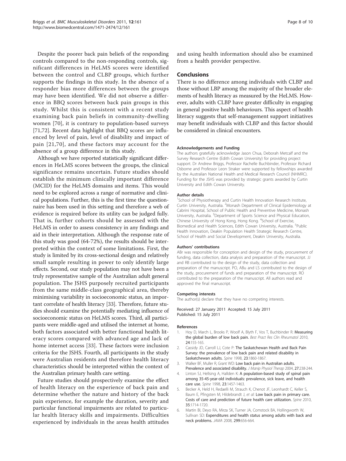<span id="page-8-0"></span>Despite the poorer back pain beliefs of the responding controls compared to the non-responding controls, significant differences in HeLMS scores were identified between the control and CLBP groups, which further supports the findings in this study. In the absence of a responder bias more differences between the groups may have been identified. We did not observe a difference in BBQ scores between back pain groups in this study. Whilst this is consistent with a recent study examining back pain beliefs in community-dwelling women [[70](#page-10-0)], it is contrary to population-based surveys [[71,72\]](#page-10-0). Recent data highlight that BBQ scores are influenced by level of pain, level of disability and impact of pain [[21](#page-9-0),[70](#page-10-0)], and these factors may account for the absence of a group difference in this study.

Although we have reported statistically significant differences in HeLMS scores between the groups, the clinical significance remains uncertain. Future studies should establish the minimum clinically important difference (MCID) for the HeLMS domains and items. This would need to be explored across a range of normative and clinical populations. Further, this is the first time the questionnaire has been used in this setting and therefore a web of evidence is required before its utility can be judged fully. That is, further cohorts should be assessed with the HeLMS in order to assess consistency in any findings and aid in their interpretation. Although the response rate of this study was good (64-72%), the results should be interpreted within the context of some limitations. First, the study is limited by its cross-sectional design and relatively small sample resulting in power to only identify large effects. Second, our study population may not have been a truly representative sample of the Australian adult general population. The JSHS purposely recruited participants from the same middle-class geographical area, thereby minimising variability in socioeconomic status, an important correlate of health literacy [[33\]](#page-9-0). Therefore, future studies should examine the potentially mediating influence of socioeconomic status on HeLMS scores. Third, all participants were middle-aged and utilised the internet at home, both factors associated with better functional health literacy scores compared with advanced age and lack of home internet access [[33\]](#page-9-0). These factors were inclusion criteria for the JSHS. Fourth, all participants in the study were Australian residents and therefore health literacy characteristics should be interpreted within the context of the Australian primary health care setting.

Future studies should prospectively examine the effect of health literacy on the experience of back pain and determine whether the nature and history of the back pain experience, for example the duration, severity and particular functional impairments are related to particular health literacy skills and impairments. Difficulties experienced by individuals in the areas health attitudes and using health information should also be examined from a health provider perspective.

#### Conclusions

There is no difference among individuals with CLBP and those without LBP among the majority of the broader elements of health literacy as measured by the HeLMS. However, adults with CLBP have greater difficulty in engaging in general positive health behaviours. This aspect of health literacy suggests that self-management support initiatives may benefit individuals with CLBP and this factor should be considered in clinical encounters.

#### Acknowledgements and Funding

The authors gratefully acknowledge Jason Chua, Deborah Metcalf and the Survey Research Centre (Edith Cowan University) for providing project support. Dr Andrew Briggs, Professor Rachelle Buchbinder, Professor Richard Osborne and Professor Leon Straker were supported by fellowships awarded by the Australian National Health and Medical Research Council (NHMRC). Funding for the JSHS was provided by strategic grants awarded by Curtin University and Edith Cowan University.

#### Author details

<sup>1</sup>School of Physiotherapy and Curtin Health Innovation Research Institute, Curtin University, Australia. <sup>2</sup> Monash Department of Clinical Epidemiology at Cabrini Hospital, School of Public Health and Preventive Medicine, Monash University, Australia. <sup>3</sup>Department of Sports Science and Physical Education, Chinese University of Hong Kong, Hong Kong. <sup>4</sup> School of Exercise, Biomedical and Health Sciences, Edith Cowan University, Australia. <sup>5</sup>Public Health Innovation, Deakin Population Health Strategic Research Centre, School of Health and Social Development, Deakin University, Australia.

#### Authors' contributions

ABr was responsible for conception and design of the study, procurement of funding, data collection, data analysis and preparation of the manuscript. JJ and RB contributed to the design of the study, data collection and preparation of the manuscript. PO, ABu and LS contributed to the design of the study, procurement of funds and preparation of the manuscript. RO contributed to the preparation of the manuscript. All authors read and approved the final manuscript.

#### Competing interests

The author(s) declare that they have no competing interests.

Received: 27 January 2011 Accepted: 15 July 2011 Published: 15 July 2011

#### References

- 1. Hoy D, March L, Brooks P, Woolf A, Blyth F, Vos T, Buchbinder R: [Measuring](http://www.ncbi.nlm.nih.gov/pubmed/20227638?dopt=Abstract) [the global burden of low back pain.](http://www.ncbi.nlm.nih.gov/pubmed/20227638?dopt=Abstract) Best Pract Res Clin Rheumatol 2010, 24:155-165.
- 2. Cassidy JD, Carroll LJ, Cote P: [The Saskatchewan Health and Back Pain](http://www.ncbi.nlm.nih.gov/pubmed/9762743?dopt=Abstract) [Survey: the prevalence of low back pain and related disability in](http://www.ncbi.nlm.nih.gov/pubmed/9762743?dopt=Abstract) [Saskatchewan adults.](http://www.ncbi.nlm.nih.gov/pubmed/9762743?dopt=Abstract) Spine 1998, 23:1860-1867.
- 3. Walker BF, Muller R, Grant WD: Low back pain in Australian adults. Prevalence and associated disability. J Manip Physiol Therap 2004, 27:238-244.
- 4. Linton SJ, Hellsing A, Hallden K: [A population-based study of spinal pain](http://www.ncbi.nlm.nih.gov/pubmed/9670397?dopt=Abstract) [among 35-45-year-old individuals: prevalence, sick leave, and health](http://www.ncbi.nlm.nih.gov/pubmed/9670397?dopt=Abstract) [care use.](http://www.ncbi.nlm.nih.gov/pubmed/9670397?dopt=Abstract) Spine 1998, 23:1457-1463.
- 5. Becker A, Held H, Redaelli M, Strauch K, Chenot JF, Leonhardt C, Keller S, Baum E, Pfingsten M, Hildebrandt J, et al: [Low back pain in primary care.](http://www.ncbi.nlm.nih.gov/pubmed/21374895?dopt=Abstract) [Costs of care and prediction of future health care utilization.](http://www.ncbi.nlm.nih.gov/pubmed/21374895?dopt=Abstract) Spine 2010, 35:1714-1720.
- 6. Martin BI, Deyo RA, Mirza SK, Turner JA, Comstock BA, Hollingworth W, Sullivan SD: [Expenditures and health status among adults with back and](http://www.ncbi.nlm.nih.gov/pubmed/18270354?dopt=Abstract) [neck problems.](http://www.ncbi.nlm.nih.gov/pubmed/18270354?dopt=Abstract) JAMA 2008, 299:656-664.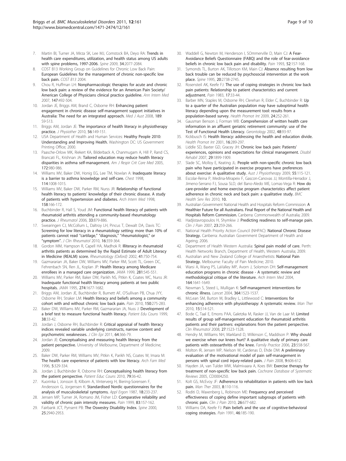- <span id="page-9-0"></span>7. Martin BI, Turner JA, Mirza SK, Lee MJ, Comstock BA, Deyo RA: [Trends in](http://www.ncbi.nlm.nih.gov/pubmed/19675510?dopt=Abstract) [health care expenditures, utilization, and health status among US adults](http://www.ncbi.nlm.nih.gov/pubmed/19675510?dopt=Abstract) [with spine problems, 1997-2006.](http://www.ncbi.nlm.nih.gov/pubmed/19675510?dopt=Abstract) Spine 2009, 34:2077-2084.
- 8. COST B13 Working Group on Guidelines for Chronic Low Back Pain: European Guidelines for the management of chronic non-specific low back pain. COST B13 2004.
- Chou R, Huffman LH: [Nonpharmacologic therapies for acute and chronic](http://www.ncbi.nlm.nih.gov/pubmed/17909210?dopt=Abstract) [low back pain: a review of the evidence for an American Pain Society/](http://www.ncbi.nlm.nih.gov/pubmed/17909210?dopt=Abstract) [American College of Physicians clinical practice guideline.](http://www.ncbi.nlm.nih.gov/pubmed/17909210?dopt=Abstract) Ann Intern Med 2007, 147:492-504.
- 10. Jordan JE, Briggs AM, Brand C, Osborne RH: [Enhancing patient](http://www.ncbi.nlm.nih.gov/pubmed/19143585?dopt=Abstract) [engagement in chronic disease self-management support initiatives in](http://www.ncbi.nlm.nih.gov/pubmed/19143585?dopt=Abstract) [Australia: The need for an integrated approach.](http://www.ncbi.nlm.nih.gov/pubmed/19143585?dopt=Abstract) Med J Aust 2008, 189: S9-S13.
- 11. Briggs AM, Jordan JE: [The importance of health literacy in physiotherapy](http://www.ncbi.nlm.nih.gov/pubmed/20795920?dopt=Abstract) [practice.](http://www.ncbi.nlm.nih.gov/pubmed/20795920?dopt=Abstract) J Physiother 2010, 56:149-151.
- 12. USA Department of Health and Human Services: Healthy People 2010: Understanding and Improving Health. Washington DC: US Government Printing Office; 2000.
- 13. Paasche-Orlow MK, Riekert KA, Bilderback A, Chanmugam A, Hill P, Rand CS, Brancati FL, Krishnan JA: [Tailored education may reduce health literacy](http://www.ncbi.nlm.nih.gov/pubmed/16081544?dopt=Abstract) [disparities in asthma self-management.](http://www.ncbi.nlm.nih.gov/pubmed/16081544?dopt=Abstract) Am J Respir Crit Care Med 2005, 172:980-986.
- 14. Williams MV, Baker DW, Honig EG, Lee TM, Nowlan A: [Inadequate literacy](http://www.ncbi.nlm.nih.gov/pubmed/9792569?dopt=Abstract) [is a barrier to asthma knowledge and self-care.](http://www.ncbi.nlm.nih.gov/pubmed/9792569?dopt=Abstract) Chest 1998, 114:1008-1015.
- 15. Williams MV, Baker DW, Parker RM, Nurss JR: [Relationship of functional](http://www.ncbi.nlm.nih.gov/pubmed/9448555?dopt=Abstract) health literacy to patients' [knowledge of their chronic disease. A study](http://www.ncbi.nlm.nih.gov/pubmed/9448555?dopt=Abstract) [of patients with hypertension and diabetes.](http://www.ncbi.nlm.nih.gov/pubmed/9448555?dopt=Abstract) Arch Intern Med 1998, 158:166-172.
- 16. Buchbinder R, Hall S, Youd JM: [Functional health literacy of patients with](http://www.ncbi.nlm.nih.gov/pubmed/16511936?dopt=Abstract) [rheumatoid arthritis attending a community-based rheumatology](http://www.ncbi.nlm.nih.gov/pubmed/16511936?dopt=Abstract) [practice.](http://www.ncbi.nlm.nih.gov/pubmed/16511936?dopt=Abstract) J Rheumatol 2006, 33:879-886.
- 17. Swearingen CJ, McCollum L, Daltroy LH, Pincus T, Dewalt DA, Davis TC: [Screening for low literacy in a rheumatology setting: more than 10% of](http://www.ncbi.nlm.nih.gov/pubmed/21085021?dopt=Abstract) [patients cannot read](http://www.ncbi.nlm.nih.gov/pubmed/21085021?dopt=Abstract) "cartilage," "diagnosis," "rheumatologist," or "[symptom](http://www.ncbi.nlm.nih.gov/pubmed/21085021?dopt=Abstract)". J Clin Rheumatol 2010, 16:359-364.
- 18. Gordon MM, Hampson R, Capell HA, Madhok R: Illiteracy in rheumatoid arthritis patients as determined by the Rapid Estimate of Adult Literacy in Medicine (REALM) score. Rheumatology (Oxford) 2002, 41:750-754.
- 19. Gazmararian JA, Baker DW, Williams MV, Parker RM, Scott TL, Green DC, Fehrenbach SN, Ren JL, Koplan JP: [Health literacy among Medicare](http://www.ncbi.nlm.nih.gov/pubmed/10022111?dopt=Abstract) [enrollees in a managed care organization.](http://www.ncbi.nlm.nih.gov/pubmed/10022111?dopt=Abstract) JAMA 1999, 281:545-551.
- 20. Williams MV, Parker RM, Baker DW, Parikh NS, Pitkin K, Coates WC, Nurss JR: [Inadequate functional health literacy among patients at two public](http://www.ncbi.nlm.nih.gov/pubmed/7474271?dopt=Abstract) [hospitals.](http://www.ncbi.nlm.nih.gov/pubmed/7474271?dopt=Abstract) JAMA 1995, 274:1677-1682.
- 21. Briggs AM, Jordan JE, Buchbinder R, Burnett AF, O'Sullivan PB, Chua JYY, Osborne RH, Straker LM: [Health literacy and beliefs among a community](http://www.ncbi.nlm.nih.gov/pubmed/20603025?dopt=Abstract) [cohort with and without chronic low back pain.](http://www.ncbi.nlm.nih.gov/pubmed/20603025?dopt=Abstract) Pain 2010, 150:275-283.
- 22. Baker DW, Williams MV, Parker RM, Gazmararian JA, Nuss J: Development of a brief test to measure functional health literacy. Patient Edu Couns 1999, 38:33-42.
- 23. Jordan J, Osborne RH, Buchbinder R: Critical appraisal of health literacy indices revealed variable underlying constructs, narrow content and psychometric weaknesses. J Clin Epi 2011, 64:366-79.
- 24. Jordan JF: Conceptualising and measuring health literacy from the patient perspective. University of Melbourne, Department of Medicine; 2009.
- 25. Baker DW, Parker RM, Williams MV, Pitkin K, Parikh NS, Coates W, Imara M: [The health care experience of patients with low literacy.](http://www.ncbi.nlm.nih.gov/pubmed/8640322?dopt=Abstract) Arch Fam Med 1996, 5:329-334.
- 26. Jordan J, Buchbinder R, Osborne RH: [Conceptualising health literacy from](http://www.ncbi.nlm.nih.gov/pubmed/19896320?dopt=Abstract) [the patient perspective.](http://www.ncbi.nlm.nih.gov/pubmed/19896320?dopt=Abstract) Patient Educ Couns 2010, 79:36-42.
- 27. Kuorinka I, Jonsson B, Kilbom A, Vinterverg H, Biering-Sorensen F, Andersson G, Jorgensen K: [Standardised Nordic questionnaires for the](http://www.ncbi.nlm.nih.gov/pubmed/15676628?dopt=Abstract) [analysis of musculoskeletal symptoms.](http://www.ncbi.nlm.nih.gov/pubmed/15676628?dopt=Abstract) Appl Ergon 1987, 18:233-237.
- 28. Jensen MP, Turner JA, Romano JM, Fisher LD: [Comparative reliability and](http://www.ncbi.nlm.nih.gov/pubmed/10534586?dopt=Abstract) [validity of chronic pain intensity measures.](http://www.ncbi.nlm.nih.gov/pubmed/10534586?dopt=Abstract) Pain 1999, 83:157-162.
- 29. Fairbank JCT, Pynsent PB: [The Oswestry Disability Index.](http://www.ncbi.nlm.nih.gov/pubmed/11074683?dopt=Abstract) Spine 2000, 25:2940-2953.
- 30. Waddell G, Newton M, Henderson I, SOmmerville D, Main CJ: [A Fear-](http://www.ncbi.nlm.nih.gov/pubmed/8455963?dopt=Abstract)[Avoidance Beliefs Questionnaire \(FABQ\) and the role of fear-avoidance](http://www.ncbi.nlm.nih.gov/pubmed/8455963?dopt=Abstract) [beliefs in chronic low back pain and disability.](http://www.ncbi.nlm.nih.gov/pubmed/8455963?dopt=Abstract) Pain 1993, 52:157-168.
- 31. Symonds TL, Burton AK, Tillotson KM, Main CJ: [Absence resulting from low](http://www.ncbi.nlm.nih.gov/pubmed/8747253?dopt=Abstract) [back trouble can be reduced by psychosocial intervention at the work](http://www.ncbi.nlm.nih.gov/pubmed/8747253?dopt=Abstract) [place.](http://www.ncbi.nlm.nih.gov/pubmed/8747253?dopt=Abstract) Spine 1995, 20:2738-2745.
- 32. Rosensteil AK, Keefe FJ: [The use of coping strategies in chronic low back](http://www.ncbi.nlm.nih.gov/pubmed/6226916?dopt=Abstract) [pain patients: Relationship to patient characteristics and current](http://www.ncbi.nlm.nih.gov/pubmed/6226916?dopt=Abstract) [adjustment.](http://www.ncbi.nlm.nih.gov/pubmed/6226916?dopt=Abstract) Pain 1983, 17:33-44.
- 33. Barber MN, Staples M, Osborne RH, Clerehan R, Elder C, Buchbinder R: [Up](http://www.ncbi.nlm.nih.gov/pubmed/19531559?dopt=Abstract) [to a quarter of the Australian population may have suboptimal health](http://www.ncbi.nlm.nih.gov/pubmed/19531559?dopt=Abstract) [literacy depending upon the measurement tool: results from a](http://www.ncbi.nlm.nih.gov/pubmed/19531559?dopt=Abstract) [population-based survey.](http://www.ncbi.nlm.nih.gov/pubmed/19531559?dopt=Abstract) Health Promot Int 2009, 24:252-261.
- Gausman Benson J, Forman WB: [Comprehension of written health care](http://www.ncbi.nlm.nih.gov/pubmed/11867931?dopt=Abstract) [information in an affluent geriatric retirement community: use of the](http://www.ncbi.nlm.nih.gov/pubmed/11867931?dopt=Abstract) [Test of Functional Health Literacy.](http://www.ncbi.nlm.nih.gov/pubmed/11867931?dopt=Abstract) Gerontology 2002, 48:93-97.
- 35. Kickbusch IS: [Health literacy: addressing the health and education divide.](http://www.ncbi.nlm.nih.gov/pubmed/11509466?dopt=Abstract) Health Promot Int 2001, 16:289-297.
- 36. Liddle SD, Baxter GD, Gracey JH: [Chronic low back pain: Patients](http://www.ncbi.nlm.nih.gov/pubmed/17852259?dopt=Abstract)' [experiences, opinions and expectations for clinical management.](http://www.ncbi.nlm.nih.gov/pubmed/17852259?dopt=Abstract) Disabil Rehabil 2007, 29:1899-1909.
- 37. Slade SC, Molloy E, Keating JL: People with non-specific chronic low back pain who have participated in exercise programs have preferences about exercise: A qualitative study. Aust J Physiotherapy 2009, 55:115-121.
- 38. Escolar-Reina P, Medina-Mirapeix F, Gascon-Canovas JJ, Montilla-Herrador J, Jimeno-Serrano FJ, Sousa SLD, del Bano-Aledo ME, Lomas-Vega R: How do care-provider and home exercise program characteristics affect patient adherence in chronic neck and back pain: a qualitative study. BMC Health Serv Res 2010, 10.
- 39. Australian Government National Health and Hospitals Reform Commission: A Healthier Future for all Australians. Final Report of the National Health and Hospitals Reform Commission. Canberra: Commonwealth of Australia; 2009.
- 40. Hadjistavropoulos H, Shymkiw J: [Predicting readiness to self-manage pain.](http://www.ncbi.nlm.nih.gov/pubmed/17314586?dopt=Abstract) Clin J Pain 2007, 23:259-266.
- 41. National Health Priority Action Council (NHPAC): National Chronic Disease Strategy. Canberra: Australian Government Department of Health and Ageing; 2006.
- 42. Department of Health Western Australia: Spinal pain model of care. Perth: Health Networks Branch, Department of Health, Western Australia; 2009.
- 43. Australian and New Zealand College of Anaesthetists: National Pain Strategy. Melbourne: Faculty of Pain Medicine; 2010.
- 44. Warsi A, Wang PS, LaValley MP, Avorn J, Solomon DH: [Self-management](http://www.ncbi.nlm.nih.gov/pubmed/15302634?dopt=Abstract) [education programs in chronic disease - A systematic review and](http://www.ncbi.nlm.nih.gov/pubmed/15302634?dopt=Abstract) [methodological critique of the literature.](http://www.ncbi.nlm.nih.gov/pubmed/15302634?dopt=Abstract) Arch Intern Med 2004, 164:1641-1649.
- 45. Newman S, Steed L, Mulligan K: [Self-management interventions for](http://www.ncbi.nlm.nih.gov/pubmed/15500899?dopt=Abstract) [chronic illness.](http://www.ncbi.nlm.nih.gov/pubmed/15500899?dopt=Abstract) Lancet 2004, 364:1523-1537.
- 46. McLean SM, Burton M, Bradley L, Littlewood C: [Interventions for](http://www.ncbi.nlm.nih.gov/pubmed/20630793?dopt=Abstract) [enhancing adherence with physiotherapy: A systematic review.](http://www.ncbi.nlm.nih.gov/pubmed/20630793?dopt=Abstract) Man Ther 2010, 15:514-521.
- 47. Bode C, Taal E, Emons PAA, Galetzka M, Rasker JJ, Van de Laar M: [Limited](http://www.ncbi.nlm.nih.gov/pubmed/18636308?dopt=Abstract) [results of group self-management education for rheumatoid arthritis](http://www.ncbi.nlm.nih.gov/pubmed/18636308?dopt=Abstract) [patients and their partners: explanations from the patient perspective.](http://www.ncbi.nlm.nih.gov/pubmed/18636308?dopt=Abstract) Clin Rheumatol 2008, 27:1523-1528.
- 48. Hendry M, Williams NH, Markland D, Wilkinson C, Maddison P: [Why should](http://www.ncbi.nlm.nih.gov/pubmed/16731544?dopt=Abstract) [we exercise when our knees hurt? A qualitative study of primary care](http://www.ncbi.nlm.nih.gov/pubmed/16731544?dopt=Abstract) [patients with osteoarthritis of the knee.](http://www.ncbi.nlm.nih.gov/pubmed/16731544?dopt=Abstract) Family Practice 2006, 23:558-567.
- Molton IR, Jensen MP, Nielson W, Cardenas D, Ehde DM: [A preliminary](http://www.ncbi.nlm.nih.gov/pubmed/18359668?dopt=Abstract) [evaluation of the motivational model of pain self-management in](http://www.ncbi.nlm.nih.gov/pubmed/18359668?dopt=Abstract) [persons with spinal cord injury-related pain.](http://www.ncbi.nlm.nih.gov/pubmed/18359668?dopt=Abstract) J Pain 2008, 9:606-612.
- 50. Hayden JA, van Tulder MW, Malmivaara A, Koes BW: Exercise therapy for treatment of non-specific low back pain. Cochrane Database of Systematic Reviews 2005, CD0004250.
- 51. Kolt GS, McEvoy JF: [Adherence to rehabilitation in patients with low back](http://www.ncbi.nlm.nih.gov/pubmed/12890439?dopt=Abstract) [pain.](http://www.ncbi.nlm.nih.gov/pubmed/12890439?dopt=Abstract) Man Ther 2003, 8:110-116.
- 52. Roditi D, Waxenberg L, Robinson ME: [Frequency and perceived](http://www.ncbi.nlm.nih.gov/pubmed/20862787?dopt=Abstract) [effectiveness of coping define important subgroups of patients with](http://www.ncbi.nlm.nih.gov/pubmed/20862787?dopt=Abstract) [chronic pain.](http://www.ncbi.nlm.nih.gov/pubmed/20862787?dopt=Abstract) Clin J Pain 2010, 26:677-682.
- 53. Williams DA, Keefe FJ: [Pain beliefs and the use of cognitive-behavioral](http://www.ncbi.nlm.nih.gov/pubmed/1749641?dopt=Abstract) [coping strategies.](http://www.ncbi.nlm.nih.gov/pubmed/1749641?dopt=Abstract) Pain 1991, 46:185-190.